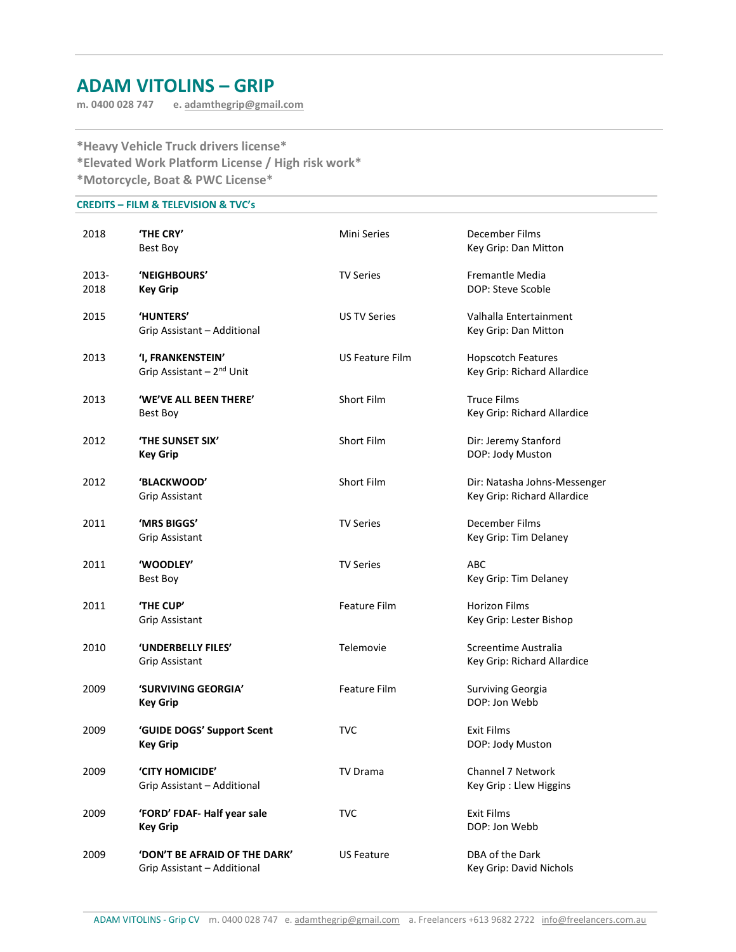# ADAM VITOLINS – GRIP

m. 0400 028 747 e. adamthegrip@gmail.com

\*Heavy Vehicle Truck drivers license\* \*Elevated Work Platform License / High risk work\* \*Motorcycle, Boat & PWC License\*

## CREDITS – FILM & TELEVISION & TVC's

| 2018          | <b>'THE CRY'</b><br>Best Boy                                 | Mini Series            | December Films<br>Key Grip: Dan Mitton                      |
|---------------|--------------------------------------------------------------|------------------------|-------------------------------------------------------------|
| 2013-<br>2018 | 'NEIGHBOURS'<br><b>Key Grip</b>                              | <b>TV Series</b>       | Fremantle Media<br>DOP: Steve Scoble                        |
| 2015          | <b>'HUNTERS'</b><br>Grip Assistant - Additional              | <b>US TV Series</b>    | Valhalla Entertainment<br>Key Grip: Dan Mitton              |
| 2013          | 'I, FRANKENSTEIN'<br>Grip Assistant - 2 <sup>nd</sup> Unit   | <b>US Feature Film</b> | <b>Hopscotch Features</b><br>Key Grip: Richard Allardice    |
| 2013          | 'WE'VE ALL BEEN THERE'<br>Best Boy                           | Short Film             | <b>Truce Films</b><br>Key Grip: Richard Allardice           |
| 2012          | <b>'THE SUNSET SIX'</b><br><b>Key Grip</b>                   | Short Film             | Dir: Jeremy Stanford<br>DOP: Jody Muston                    |
| 2012          | 'BLACKWOOD'<br><b>Grip Assistant</b>                         | Short Film             | Dir: Natasha Johns-Messenger<br>Key Grip: Richard Allardice |
| 2011          | 'MRS BIGGS'<br><b>Grip Assistant</b>                         | <b>TV Series</b>       | December Films<br>Key Grip: Tim Delaney                     |
| 2011          | 'WOODLEY'<br>Best Boy                                        | <b>TV Series</b>       | <b>ABC</b><br>Key Grip: Tim Delaney                         |
| 2011          | 'THE CUP'<br><b>Grip Assistant</b>                           | Feature Film           | <b>Horizon Films</b><br>Key Grip: Lester Bishop             |
| 2010          | 'UNDERBELLY FILES'<br><b>Grip Assistant</b>                  | Telemovie              | Screentime Australia<br>Key Grip: Richard Allardice         |
| 2009          | 'SURVIVING GEORGIA'<br><b>Key Grip</b>                       | <b>Feature Film</b>    | Surviving Georgia<br>DOP: Jon Webb                          |
| 2009          | 'GUIDE DOGS' Support Scent<br><b>Key Grip</b>                | <b>TVC</b>             | <b>Exit Films</b><br>DOP: Jody Muston                       |
| 2009          | <b>'CITY HOMICIDE'</b><br>Grip Assistant - Additional        | TV Drama               | Channel 7 Network<br>Key Grip: Llew Higgins                 |
| 2009          | 'FORD' FDAF- Half year sale<br><b>Key Grip</b>               | <b>TVC</b>             | <b>Exit Films</b><br>DOP: Jon Webb                          |
| 2009          | 'DON'T BE AFRAID OF THE DARK'<br>Grip Assistant - Additional | <b>US Feature</b>      | DBA of the Dark<br>Key Grip: David Nichols                  |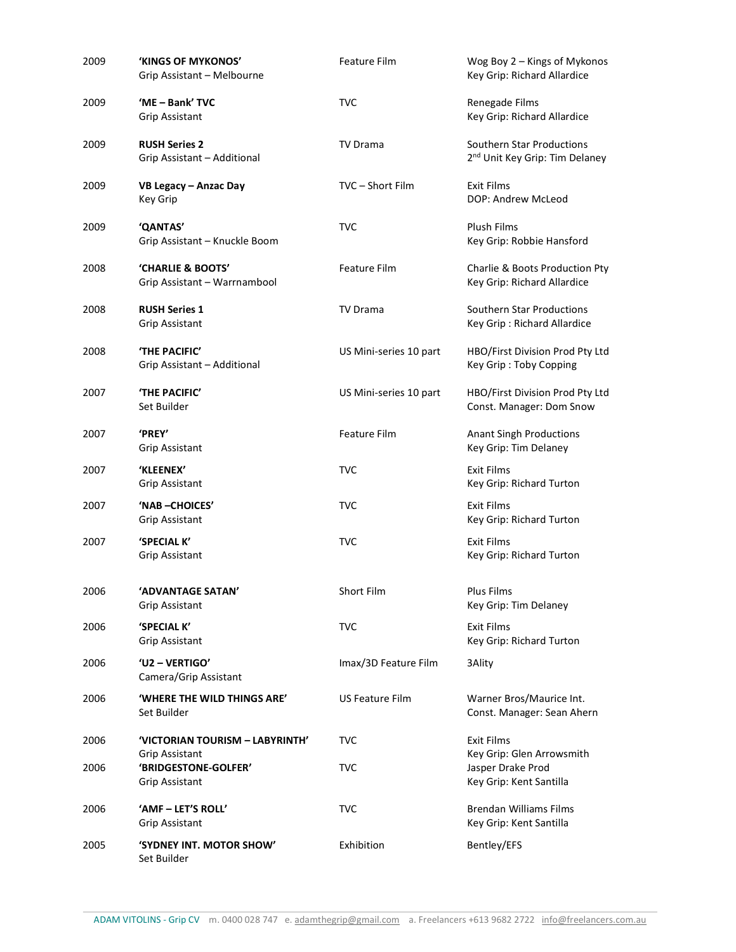| 2009 | 'KINGS OF MYKONOS'<br>Grip Assistant - Melbourne    | <b>Feature Film</b>    | Wog Boy 2 - Kings of Mykonos<br>Key Grip: Richard Allardice             |
|------|-----------------------------------------------------|------------------------|-------------------------------------------------------------------------|
| 2009 | 'ME - Bank' TVC<br><b>Grip Assistant</b>            | <b>TVC</b>             | Renegade Films<br>Key Grip: Richard Allardice                           |
| 2009 | <b>RUSH Series 2</b><br>Grip Assistant - Additional | <b>TV Drama</b>        | Southern Star Productions<br>2 <sup>nd</sup> Unit Key Grip: Tim Delaney |
| 2009 | VB Legacy - Anzac Day<br>Key Grip                   | TVC - Short Film       | <b>Exit Films</b><br>DOP: Andrew McLeod                                 |
| 2009 | 'QANTAS'<br>Grip Assistant - Knuckle Boom           | <b>TVC</b>             | Plush Films<br>Key Grip: Robbie Hansford                                |
| 2008 | 'CHARLIE & BOOTS'<br>Grip Assistant - Warrnambool   | <b>Feature Film</b>    | Charlie & Boots Production Pty<br>Key Grip: Richard Allardice           |
| 2008 | <b>RUSH Series 1</b><br>Grip Assistant              | TV Drama               | Southern Star Productions<br>Key Grip: Richard Allardice                |
| 2008 | 'THE PACIFIC'<br>Grip Assistant - Additional        | US Mini-series 10 part | HBO/First Division Prod Pty Ltd<br>Key Grip: Toby Copping               |
| 2007 | 'THE PACIFIC'<br>Set Builder                        | US Mini-series 10 part | HBO/First Division Prod Pty Ltd<br>Const. Manager: Dom Snow             |
| 2007 | <b>'PREY'</b><br>Grip Assistant                     | <b>Feature Film</b>    | <b>Anant Singh Productions</b><br>Key Grip: Tim Delaney                 |
| 2007 | 'KLEENEX'<br>Grip Assistant                         | <b>TVC</b>             | <b>Exit Films</b><br>Key Grip: Richard Turton                           |
| 2007 | 'NAB-CHOICES'<br>Grip Assistant                     | <b>TVC</b>             | <b>Exit Films</b><br>Key Grip: Richard Turton                           |
| 2007 | 'SPECIAL K'<br><b>Grip Assistant</b>                | <b>TVC</b>             | <b>Exit Films</b><br>Key Grip: Richard Turton                           |
| 2006 | 'ADVANTAGE SATAN'<br><b>Grip Assistant</b>          | Short Film             | Plus Films<br>Key Grip: Tim Delaney                                     |
| 2006 | 'SPECIAL K'<br>Grip Assistant                       | <b>TVC</b>             | <b>Exit Films</b><br>Key Grip: Richard Turton                           |
| 2006 | 'U2 - VERTIGO'<br>Camera/Grip Assistant             | Imax/3D Feature Film   | 3Ality                                                                  |
| 2006 | 'WHERE THE WILD THINGS ARE'<br>Set Builder          | <b>US Feature Film</b> | Warner Bros/Maurice Int.<br>Const. Manager: Sean Ahern                  |
| 2006 | 'VICTORIAN TOURISM - LABYRINTH'<br>Grip Assistant   | <b>TVC</b>             | <b>Exit Films</b><br>Key Grip: Glen Arrowsmith                          |
| 2006 | 'BRIDGESTONE-GOLFER'<br>Grip Assistant              | <b>TVC</b>             | Jasper Drake Prod<br>Key Grip: Kent Santilla                            |
| 2006 | 'AMF - LET'S ROLL'<br>Grip Assistant                | <b>TVC</b>             | <b>Brendan Williams Films</b><br>Key Grip: Kent Santilla                |
| 2005 | 'SYDNEY INT. MOTOR SHOW'<br>Set Builder             | Exhibition             | Bentley/EFS                                                             |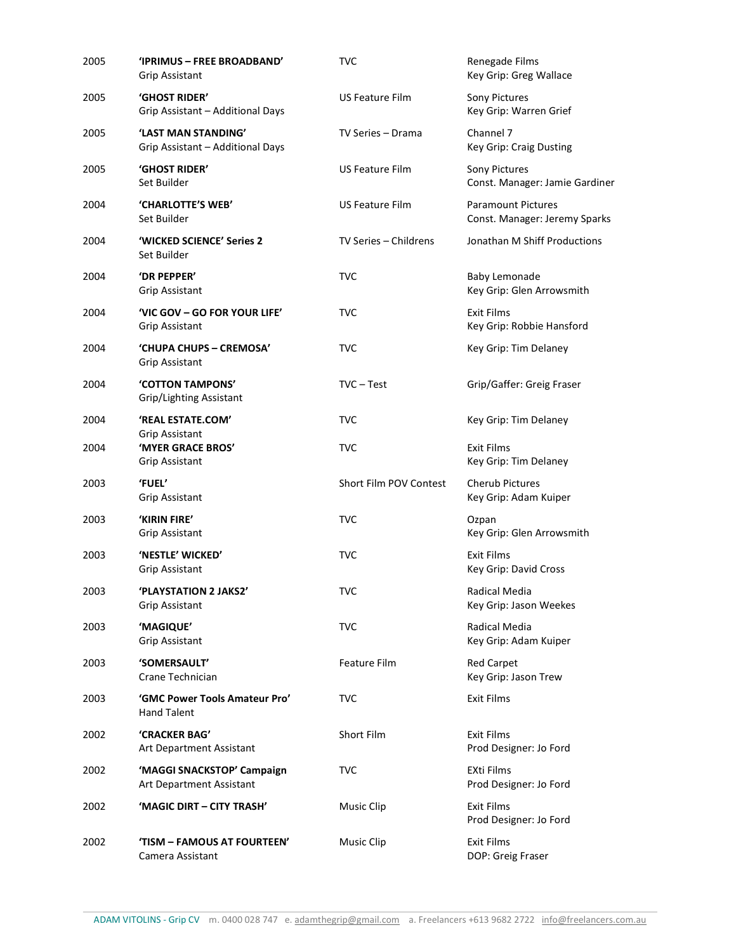| 2005 | 'IPRIMUS - FREE BROADBAND'<br>Grip Assistant            | TVC                    | Renegade Films<br>Key Grip: Greg Wallace                   |
|------|---------------------------------------------------------|------------------------|------------------------------------------------------------|
| 2005 | 'GHOST RIDER'<br>Grip Assistant - Additional Days       | <b>US Feature Film</b> | Sony Pictures<br>Key Grip: Warren Grief                    |
| 2005 | 'LAST MAN STANDING'<br>Grip Assistant - Additional Days | TV Series - Drama      | Channel 7<br>Key Grip: Craig Dusting                       |
| 2005 | 'GHOST RIDER'<br>Set Builder                            | <b>US Feature Film</b> | Sony Pictures<br>Const. Manager: Jamie Gardiner            |
| 2004 | 'CHARLOTTE'S WEB'<br>Set Builder                        | <b>US Feature Film</b> | <b>Paramount Pictures</b><br>Const. Manager: Jeremy Sparks |
| 2004 | 'WICKED SCIENCE' Series 2<br>Set Builder                | TV Series - Childrens  | Jonathan M Shiff Productions                               |
| 2004 | 'DR PEPPER'<br>Grip Assistant                           | <b>TVC</b>             | <b>Baby Lemonade</b><br>Key Grip: Glen Arrowsmith          |
| 2004 | 'VIC GOV - GO FOR YOUR LIFE'<br>Grip Assistant          | <b>TVC</b>             | <b>Exit Films</b><br>Key Grip: Robbie Hansford             |
| 2004 | 'CHUPA CHUPS - CREMOSA'<br>Grip Assistant               | <b>TVC</b>             | Key Grip: Tim Delaney                                      |
| 2004 | 'COTTON TAMPONS'<br>Grip/Lighting Assistant             | $TVC - Test$           | Grip/Gaffer: Greig Fraser                                  |
| 2004 | 'REAL ESTATE.COM'<br>Grip Assistant                     | <b>TVC</b>             | Key Grip: Tim Delaney                                      |
| 2004 | 'MYER GRACE BROS'<br>Grip Assistant                     | <b>TVC</b>             | <b>Exit Films</b><br>Key Grip: Tim Delaney                 |
| 2003 | <b>'FUEL'</b><br>Grip Assistant                         | Short Film POV Contest | <b>Cherub Pictures</b><br>Key Grip: Adam Kuiper            |
| 2003 | 'KIRIN FIRE'<br>Grip Assistant                          | <b>TVC</b>             | Ozpan<br>Key Grip: Glen Arrowsmith                         |
| 2003 | 'NESTLE' WICKED'<br><b>Grip Assistant</b>               | <b>TVC</b>             | <b>Exit Films</b><br>Key Grip: David Cross                 |
| 2003 | 'PLAYSTATION 2 JAKS2'<br>Grip Assistant                 | <b>TVC</b>             | Radical Media<br>Key Grip: Jason Weekes                    |
| 2003 | 'MAGIQUE'<br>Grip Assistant                             | <b>TVC</b>             | Radical Media<br>Key Grip: Adam Kuiper                     |
| 2003 | <b>'SOMERSAULT'</b><br>Crane Technician                 | <b>Feature Film</b>    | <b>Red Carpet</b><br>Key Grip: Jason Trew                  |
| 2003 | 'GMC Power Tools Amateur Pro'<br><b>Hand Talent</b>     | <b>TVC</b>             | <b>Exit Films</b>                                          |
| 2002 | 'CRACKER BAG'<br>Art Department Assistant               | Short Film             | <b>Exit Films</b><br>Prod Designer: Jo Ford                |
| 2002 | 'MAGGI SNACKSTOP' Campaign<br>Art Department Assistant  | <b>TVC</b>             | EXti Films<br>Prod Designer: Jo Ford                       |
| 2002 | 'MAGIC DIRT – CITY TRASH'                               | Music Clip             | <b>Exit Films</b><br>Prod Designer: Jo Ford                |
| 2002 | 'TISM – FAMOUS AT FOURTEEN'<br>Camera Assistant         | Music Clip             | <b>Exit Films</b><br>DOP: Greig Fraser                     |